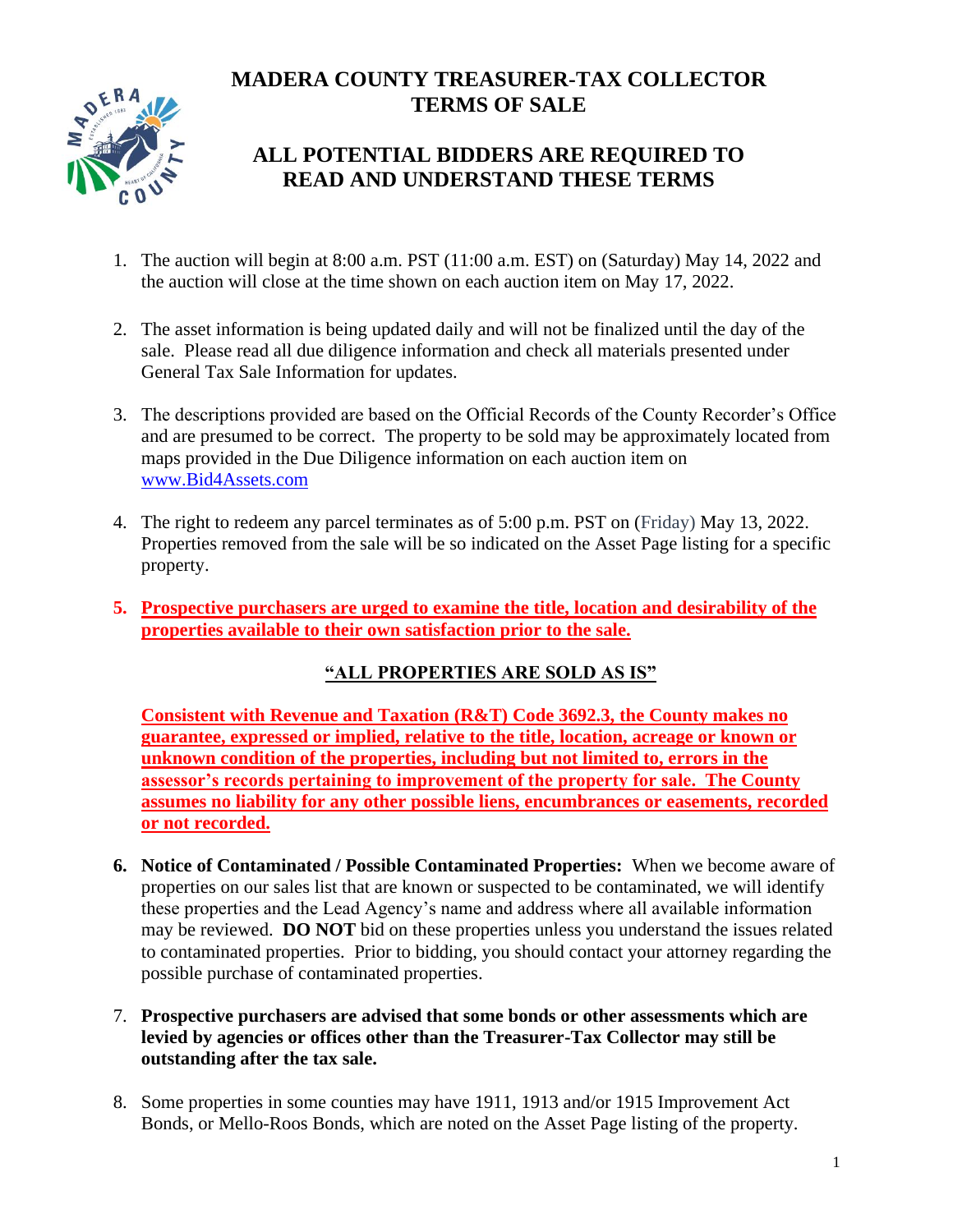# **MADERA COUNTY TREASURER-TAX COLLECTOR TERMS OF SALE**



## **ALL POTENTIAL BIDDERS ARE REQUIRED TO READ AND UNDERSTAND THESE TERMS**

- 1. The auction will begin at 8:00 a.m. PST (11:00 a.m. EST) on (Saturday) May 14, 2022 and the auction will close at the time shown on each auction item on May 17, 2022.
- 2. The asset information is being updated daily and will not be finalized until the day of the sale. Please read all due diligence information and check all materials presented under General Tax Sale Information for updates.
- 3. The descriptions provided are based on the Official Records of the County Recorder's Office and are presumed to be correct. The property to be sold may be approximately located from maps provided in the Due Diligence information on each auction item on [www.Bid4Assets.com](http://www.bid4assets.com/)
- 4. The right to redeem any parcel terminates as of 5:00 p.m. PST on (Friday) May 13, 2022. Properties removed from the sale will be so indicated on the Asset Page listing for a specific property.
- **5. Prospective purchasers are urged to examine the title, location and desirability of the properties available to their own satisfaction prior to the sale.**

### **"ALL PROPERTIES ARE SOLD AS IS"**

**Consistent with Revenue and Taxation (R&T) Code 3692.3, the County makes no guarantee, expressed or implied, relative to the title, location, acreage or known or unknown condition of the properties, including but not limited to, errors in the assessor's records pertaining to improvement of the property for sale. The County assumes no liability for any other possible liens, encumbrances or easements, recorded or not recorded.**

- **6. Notice of Contaminated / Possible Contaminated Properties:** When we become aware of properties on our sales list that are known or suspected to be contaminated, we will identify these properties and the Lead Agency's name and address where all available information may be reviewed. **DO NOT** bid on these properties unless you understand the issues related to contaminated properties. Prior to bidding, you should contact your attorney regarding the possible purchase of contaminated properties.
- 7. **Prospective purchasers are advised that some bonds or other assessments which are levied by agencies or offices other than the Treasurer-Tax Collector may still be outstanding after the tax sale.**
- 8. Some properties in some counties may have 1911, 1913 and/or 1915 Improvement Act Bonds, or Mello-Roos Bonds, which are noted on the Asset Page listing of the property.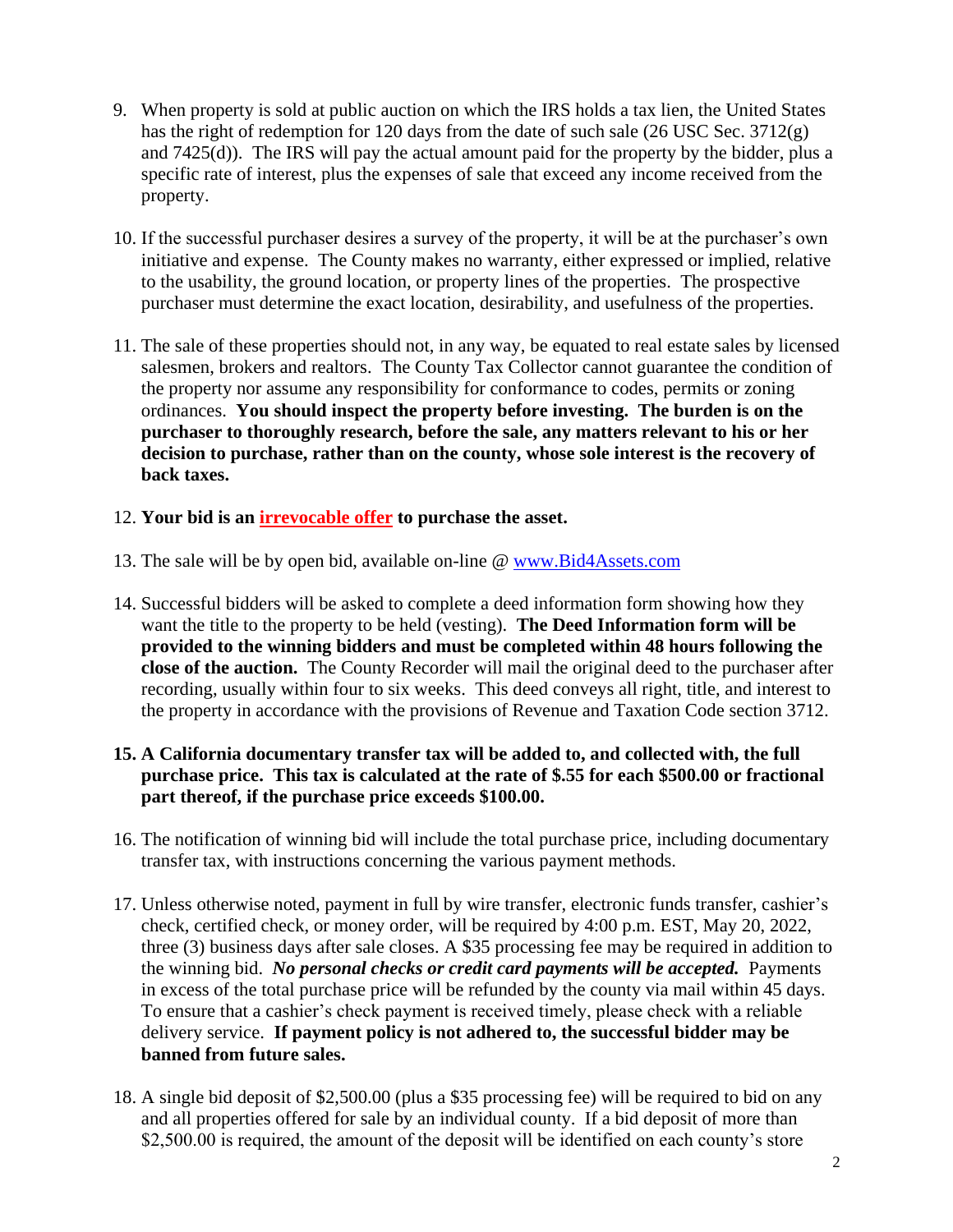- 9. When property is sold at public auction on which the IRS holds a tax lien, the United States has the right of redemption for 120 days from the date of such sale (26 USC Sec. 3712(g) and 7425(d)). The IRS will pay the actual amount paid for the property by the bidder, plus a specific rate of interest, plus the expenses of sale that exceed any income received from the property.
- 10. If the successful purchaser desires a survey of the property, it will be at the purchaser's own initiative and expense. The County makes no warranty, either expressed or implied, relative to the usability, the ground location, or property lines of the properties. The prospective purchaser must determine the exact location, desirability, and usefulness of the properties.
- 11. The sale of these properties should not, in any way, be equated to real estate sales by licensed salesmen, brokers and realtors. The County Tax Collector cannot guarantee the condition of the property nor assume any responsibility for conformance to codes, permits or zoning ordinances. **You should inspect the property before investing. The burden is on the purchaser to thoroughly research, before the sale, any matters relevant to his or her decision to purchase, rather than on the county, whose sole interest is the recovery of back taxes.**
- 12. **Your bid is an irrevocable offer to purchase the asset.**
- 13. The sale will be by open bid, available on-line @ [www.Bid4Assets.com](http://www.bid4assets.com/)
- 14. Successful bidders will be asked to complete a deed information form showing how they want the title to the property to be held (vesting). **The Deed Information form will be provided to the winning bidders and must be completed within 48 hours following the close of the auction.** The County Recorder will mail the original deed to the purchaser after recording, usually within four to six weeks. This deed conveys all right, title, and interest to the property in accordance with the provisions of Revenue and Taxation Code section 3712.
- **15. A California documentary transfer tax will be added to, and collected with, the full purchase price. This tax is calculated at the rate of \$.55 for each \$500.00 or fractional part thereof, if the purchase price exceeds \$100.00.**
- 16. The notification of winning bid will include the total purchase price, including documentary transfer tax, with instructions concerning the various payment methods.
- 17. Unless otherwise noted, payment in full by wire transfer, electronic funds transfer, cashier's check, certified check, or money order, will be required by 4:00 p.m. EST, May 20, 2022, three (3) business days after sale closes. A \$35 processing fee may be required in addition to the winning bid. *No personal checks or credit card payments will be accepted.* Payments in excess of the total purchase price will be refunded by the county via mail within 45 days. To ensure that a cashier's check payment is received timely, please check with a reliable delivery service. **If payment policy is not adhered to, the successful bidder may be banned from future sales.**
- 18. A single bid deposit of \$2,500.00 (plus a \$35 processing fee) will be required to bid on any and all properties offered for sale by an individual county. If a bid deposit of more than \$2,500.00 is required, the amount of the deposit will be identified on each county's store